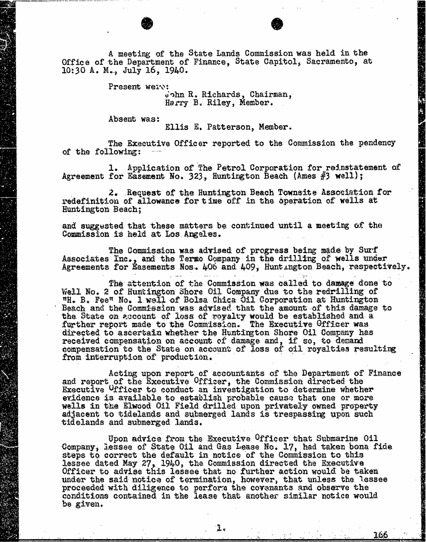A meeting of the State Lands Commission was held in the Office of the Department of Finance, State Capitol, Sacramento, at 10:30 A. M., July 16, 1940.

Present werd:

John R. Richards, Chairman, Harry B. Riley, Member.

166

Absent was:

Ellis E. Patterson, Member.

The Executive Officer reported to the Commission the pendency of the following:

1. Application of The Petrol Corporation for reinstatement of Agreement for Easement No. 323, Huntington Beach (Ames #3 well);

2. Request of the Huntington Beach Townsite Association for redefinition of allowance for time off in the operation of wells at Huntington Beach;

and suggested that these matters be continued until a meeting of the Commission is held at Los Angeles.

The Commission was advised of progress being made by Surf Associates Inc., and the Termo Company in the drilling of wells under Agreements for Easements Nos. 406 and 409, Huntington Beach, respectively.

The attention of the Commission was called to damage done to Well No. 2 of Huntington Shore Oil Company due to the redrilling of "H. B. Feel No. I well of Bolsa Chica Oil Corporation at Huntington Beach and the Commission was advised that the amount of this damage to the State on account of loss of royalty would be established and a further report made to the Commission. The Executive Officer directed to ascertain whether the Huntington Shore Oil Company has received compensation on account of damage and, if so, to demand compensation to the State on account of loss of oil royalties resulting from interruption of production.

Acting upon report of accountants of the Department of Finance<br>and report of the Executive Officer, the Commission directed the Executive Officer to conduct an investigation to determine whether evidence is available to establish probable cause that one or more wells in the Elwood Oil Field drilled upon privately owned property adjacent to tidelands and submerged lands is trespassing upon such tidelands and submerged lands.

Upon advice from the Executive <sup>O</sup>fficer that Submarine Oil Company, Jessee of State Oil and Gas Lease No. 17, had taken bona fide steps to correct the default in notice of the Commission to this lessee dated May 27, 1940, the Commission directed the Executive Officer to advise this lessee that no further action would be taken under the said notice of termination, however, that unless the lessee proceeded with diligence to perform the covenants conditions contained in the lease that another similar be given.

I e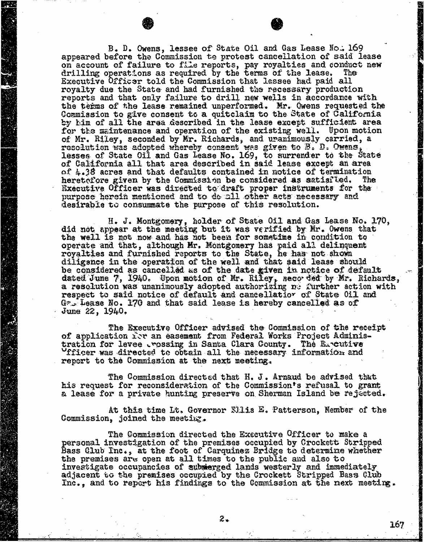B. D. Owens, lessee of State Oil and Gas Lease No. 169 appeared before the Commission te protest cancellation of said lease on account of failure to file reports, pay royalties a drilling operations as required by the terms of the . Executive Officer told the Commission that lesses had paid all royalty due the State and had furnished the recessary production reports and that only failure to drill new wells in accordance with the terms of the lease remained unperformed. Mr. Owens requested the the terms of the lease remained unperformed. Mr. Owens request Commission to give consent to a quitclaim to the State of  $C$ by him of all the area described in the lease except sufficient area for the maintenance and operation of the existing well. Upon motion of Mr. Riley, seconded by Mr. Richards, and uranimously carried, a recorded by Mr. Richards, and uranimously carried, a resolution was adopted whereby consent was given to  $\mathbb{S}_v$  by Owens, the consent lesses of State Oil and Gas Lease No. 169, to surrender to the State Oil and Gas Lease No. 169, to surrender to of California all that area described in said lease except and an area of the set and area of the set and an a of 4.38 acres and that defaults contained in notice of termination heretofore given by the Commission be considered as satisiled. The Executive Officer was directed to draft proper instruments for the purpose herein mentioned and to do all other acts necessary and desirable to consummate the purpose of this resolution.

H. J. Montgomery, holder of State Oil and Gas Lease No. 170, did not appear at the meeting but it was verified by Mr. Owens that the well is not now and has not been for sometime in condition to operate and that, although Er. Montgomery has paid a royalties and furnished reports to the State, he has diligence in the operation of the well and that said lease should be considered as cancelled as of the date given in notice of default dated June 7, 1940. Upon motion of Mr. Riley, seco ded by Mr. Richards, and the contract of the contract of the contract of the contract of the contract of the contract of the contract of the contract of the contract of th a resolution was unanimously adopted authorizing no further respect to said notice of default and cancellatior of State 011 and Ga Lease No. 170 and that said lease is hereby cancelled as of June 22, 1940.

The Executive Officer advised the Commission of the receipt of application  $\tilde{x}$  an easement from Federal Works Project Administration for levee rossing in Santa Clara County. The Excutive Officer was directed to obtain all the necessary information and report to the Commission at the next meeting.

The Commission directed that H. J. Arnaud be advised that his request for reconsideration of the Commission's refusal to grant a lease for a private hunting preserve on Sherman Island be rejected.

At this time Lt, Governor Sliis E. Patterson, Member of the Commission, joined the meeting.

The Commission directed the Executive Officer to make a personal investigation of the premises occupied by Crockett Stripped Bass Club Inc., at the foot of Carquinez Bridge to determine whether the premises are open at all times to the public and also to investigate occupancies of submerged lands westerly and immediately adjacent to the premises occupied by the Crockett Stripped Bass Club Inc., and to report his findings to the Commission at the next meeting.

167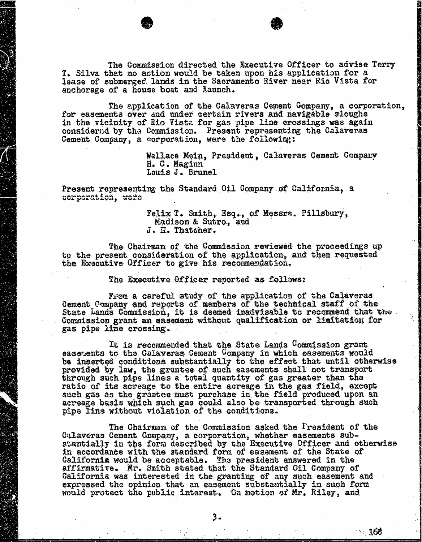The Commission directed the Executive Officer to advise Terry T. Silva that no action would be taken upon his application for a lease of submerged lands in the Sacramento River near Rio Vista for anchorage of a house boat and Launch.

The application of the Calaveras Cement Company, a corporation, for easements over and under certain rivers and navigable sloughs in the vicinity of Rio Vista for gas pipe line crossings was again considered by the Commission. Present representing the Calaveras Cement Company, a corporation, were the following:

> Wallace Mein, President, Calaveras Cement Company H. C. Maginn Louis J. Brunel

Present representing the Standard Oil Company of California, a corporation, wore

> Felix T. Smith, Esq., of Messra. Pillsbury, Madison & Sutro, and J. H. Thatcher.

The Chairman of the Commission reviewed the proceedings up to the present consideration of the application, and then requested the Executive Officer to give his recommendation.

The Executive Officer reported as follows:

From a careful study of the application of the Calaveras Cement Company and reports of members of the technical staff of the State Lands Commission, it is deemed inadvisable to recommend that the Commission grant an easement without qualification or Limitation for gas pipe line crossing.

It is recommended that the State Lands Commission grant easerents to the Calaveras Cement Company in which easements would be inserted conditions substantially to the effect that until otherwise provided by law, the grantee of such easements shall not transport through such pipe lines a total quantity of gas greater than the ratio of its acreage to the entire acreage in the gas field, except such gas as the grantee must purchase in the field produced upon an acreage basis which such gas could also be transported through such pipe line without violation of the conditions.

The Chairman of the Commission asked the Fresident of the Calaveras Cement Company, a corporation, whether easements substantially in the form described by the Executive Officer and otherwise in accordance with the standard form of easement of the State of California would be acceptable. The president answered in the affirmative. Mr. Smith stated that the Standard Oil Company of California was interested in the granting of any such easement and expressed the opinion that an easement substantially in such form would protect the public interest. On motion of Mr. Riley, and

":. 168

3∡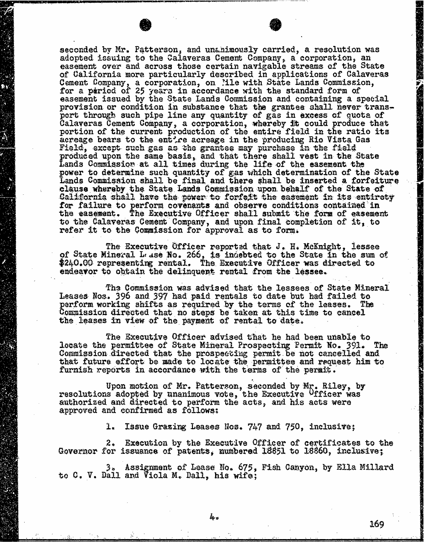seconded by Mr. Patterson, and unchimously carried, a resolution was adopted issuing to the Calaveras Cement Company, a corporation, an easement over and across those certain navigable streams of the State of California more particularly described in applications of Calaveras Cement Company, a corporation, on file with State Lands Commis for a pariod of 25 years in accordance with the stand easement issued by the State Lands Commission and containing a provision or condition in substance that the grantee shall never transport through such pipe line any quantity of gas in exces  $C$ alaveras Cement Company, a corporation, whereby fit could produce portion of the current production of the entire field in the ratio its acreage bears to the entire acreage in the producing Rio Vista Gas Field, except such gas as the grantee may purchase in the field produced upon the same basis, and that there shall vest in  $\mathbf{S}$ Lands Commission at all times during the life of the  $e$ power to determine such quantity of gas which determination of the State of the State of the State of the State of the State of the State of the State of the State of the State of the State of the State of the State of the Lands Commission shall be final and there shall be insert clause whereby the State Lands Commission upon behalf of the State of California shall have the power to forfeit the easement in its entirety for failure to perform covenants and observe conditions the easement. The Executive Officer shall submit the form of to the Calaveras Cement Company, and upon final completion of it, to refer it to the Commission for approval as to form.

The Executive Officer reported that J. H. McKnight, lessee of State Mineral Lase No. 266, is indebted to the State in the sum of \$240.00 representing rental. The Executive Officer was directed to endeavor to obtain the delinquent rental from the lessee.

The Commission was advised that the lessees of State Mineral Leases Nos. 396 and 397 had paid rentals to date but had failed perform working shifts as required by the terms of the Commission directed that no steps be taken at this time to cancel the leases in view of the payment of rental to date.

The Executive Officer advised that he had been unable to locate the permittee of State Mineral Prospecting Permit No. 391. The Commission directed that the prospecting permit be not cancelled and that future effort be made to locate the permittee and request him to furnish reports in accordance with the terms of the permit.

Upon motion of Mr. Patterson, seconded by Mr. Riley, by resolutions adopted by unanimous vote, the Executive Officer was authorized and directed to perform the acts, and his acts were approved and confirmed as follows:

1. Issue Grazing Leases Nos. 747 and 750, inclusive;

2. Execution by the Executive Officer of certificates to the Governor for issuance of patents, numbered 18851 to 18860, inclusive;

Assignment of Lease No. 675, Fish Canyon, by Ella Millard to C. V. Dall and Viola M. Dall, his wife;

169